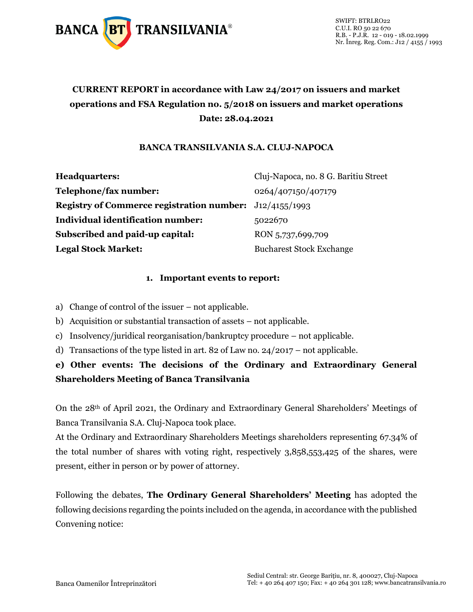

# **CURRENT REPORT in accordance with Law 24/2017 on issuers and market operations and FSA Regulation no. 5/2018 on issuers and market operations Date: 28.04.2021**

## **BANCA TRANSILVANIA S.A. CLUJ-NAPOCA**

| Headquarters:                                                    | Cluj-Napoca, no. 8 G. Baritiu Street |
|------------------------------------------------------------------|--------------------------------------|
| Telephone/fax number:                                            | 0264/407150/407179                   |
| <b>Registry of Commerce registration number:</b> $J12/4155/1993$ |                                      |
| Individual identification number:                                | 5022670                              |
| Subscribed and paid-up capital:                                  | RON 5,737,699,709                    |
| <b>Legal Stock Market:</b>                                       | <b>Bucharest Stock Exchange</b>      |

#### **1. Important events to report:**

- a) Change of control of the issuer not applicable.
- b) Acquisition or substantial transaction of assets not applicable.
- c) Insolvency/juridical reorganisation/bankruptcy procedure not applicable.
- d) Transactions of the type listed in art. 82 of Law no.  $24/2017$  not applicable.

## **e) Other events: The decisions of the Ordinary and Extraordinary General Shareholders Meeting of Banca Transilvania**

On the 28th of April 2021, the Ordinary and Extraordinary General Shareholders' Meetings of Banca Transilvania S.A. Cluj-Napoca took place.

At the Ordinary and Extraordinary Shareholders Meetings shareholders representing 67.34% of the total number of shares with voting right, respectively 3,858,553,425 of the shares, were present, either in person or by power of attorney.

Following the debates, **The Ordinary General Shareholders' Meeting** has adopted the following decisions regarding the points included on the agenda, in accordance with the published Convening notice: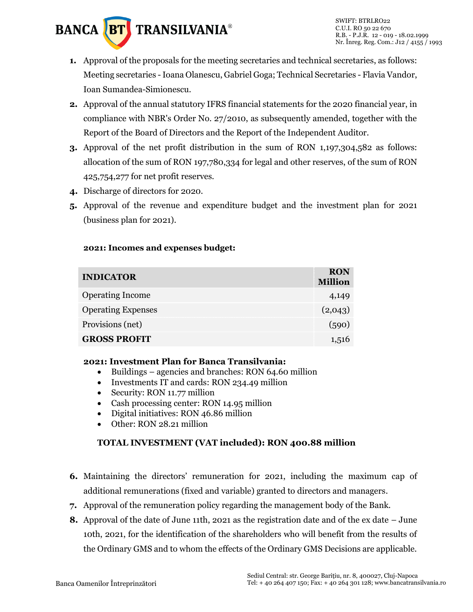

- **1.** Approval of the proposals for the meeting secretaries and technical secretaries, as follows: Meeting secretaries -Ioana Olanescu, Gabriel Goga; Technical Secretaries - Flavia Vandor, Ioan Sumandea-Simionescu.
- **2.** Approval of the annual statutory IFRS financial statements for the 2020 financial year, in compliance with NBR's Order No. 27/2010, as subsequently amended, together with the Report of the Board of Directors and the Report of the Independent Auditor.
- **3.** Approval of the net profit distribution in the sum of RON 1,197,304,582 as follows: allocation of the sum of RON 197,780,334 for legal and other reserves, of the sum of RON 425,754,277 for net profit reserves.
- **4.** Discharge of directors for 2020.
- **5.** Approval of the revenue and expenditure budget and the investment plan for 2021 (business plan for 2021).

#### **2021: Incomes and expenses budget:**

| <b>INDICATOR</b>          | <b>RON</b><br><b>Million</b> |
|---------------------------|------------------------------|
| <b>Operating Income</b>   | 4,149                        |
| <b>Operating Expenses</b> | (2,043)                      |
| Provisions (net)          | (590)                        |
| <b>GROSS PROFIT</b>       | 1.516                        |

#### **2021: Investment Plan for Banca Transilvania:**

- Buildings agencies and branches: RON 64.60 million
- Investments IT and cards: RON 234.49 million
- Security: RON 11.77 million
- Cash processing center: RON 14.95 million
- Digital initiatives: RON 46.86 million
- Other: RON 28.21 million

### **TOTAL INVESTMENT (VAT included): RON 400.88 million**

- **6.** Maintaining the directors' remuneration for 2021, including the maximum cap of additional remunerations (fixed and variable) granted to directors and managers.
- **7.** Approval of the remuneration policy regarding the management body of the Bank.
- **8.** Approval of the date of June 11th, 2021 as the registration date and of the ex date June 10th, 2021, for the identification of the shareholders who will benefit from the results of the Ordinary GMS and to whom the effects of the Ordinary GMS Decisions are applicable.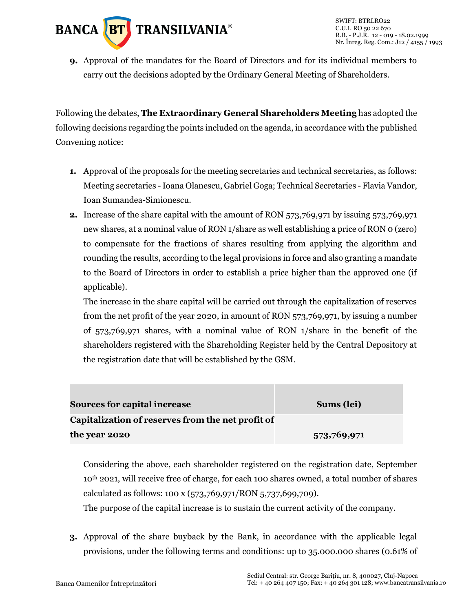

**9.** Approval of the mandates for the Board of Directors and for its individual members to carry out the decisions adopted by the Ordinary General Meeting of Shareholders.

Following the debates, **The Extraordinary General Shareholders Meeting** has adopted the following decisions regarding the points included on the agenda, in accordance with the published Convening notice:

- **1.** Approval of the proposals for the meeting secretaries and technical secretaries, as follows: Meeting secretaries -Ioana Olanescu, Gabriel Goga; Technical Secretaries - Flavia Vandor, Ioan Sumandea-Simionescu.
- **2.** Increase of the share capital with the amount of RON 573,769,971 by issuing 573,769,971 new shares, at a nominal value of RON 1/share as well establishing a price of RON 0 (zero) to compensate for the fractions of shares resulting from applying the algorithm and rounding the results, according to the legal provisions in force and also granting a mandate to the Board of Directors in order to establish a price higher than the approved one (if applicable).

The increase in the share capital will be carried out through the capitalization of reserves from the net profit of the year 2020, in amount of RON 573,769,971, by issuing a number of 573,769,971 shares, with a nominal value of RON 1/share in the benefit of the shareholders registered with the Shareholding Register held by the Central Depository at the registration date that will be established by the GSM.

| <b>Sources for capital increase</b>               | Sums (lei)  |  |
|---------------------------------------------------|-------------|--|
| Capitalization of reserves from the net profit of |             |  |
| the year 2020                                     | 573,769,971 |  |

Considering the above, each shareholder registered on the registration date, September 10th 2021, will receive free of charge, for each 100 shares owned, a total number of shares calculated as follows: 100 x (573,769,971/RON 5,737,699,709).

The purpose of the capital increase is to sustain the current activity of the company.

**3.** Approval of the share buyback by the Bank, in accordance with the applicable legal provisions, under the following terms and conditions: up to 35.000.000 shares (0.61% of